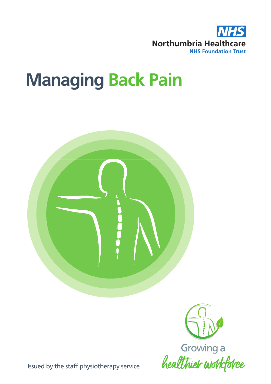

# **Managing Back Pain**





Issued by the staff physiotherapy service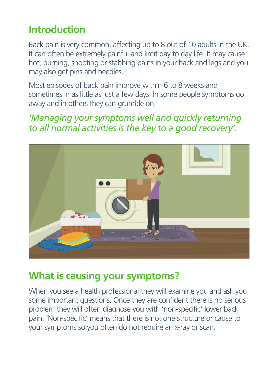## **Introduction**

Back pain is very common, affecting up to 8 out of 10 adults in the UK. It can often be extremely painful and limit day to day life. It may cause hot, burning, shooting or stabbing pains in your back and legs and you may also get pins and needles.

Most episodes of back pain improve within 6 to 8 weeks and sometimes in as little as just a few days. In some people symptoms go away and in others they can grumble on.

*'Managing your symptoms well and quickly returning to all normal activities is the key to a good recovery'.*



## **What is causing your symptoms?**

When you see a health professional they will examine you and ask you some important questions. Once they are confident there is no serious problem they will often diagnose you with 'non-specific' lower back pain. 'Non-specific' means that there is not one structure or cause to your symptoms so you often do not require an x-ray or scan.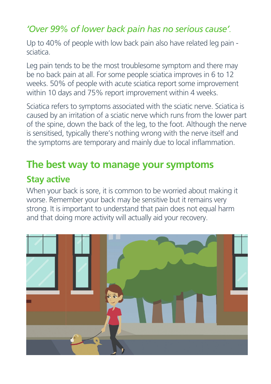#### *'Over 99% of lower back pain has no serious cause'.*

Up to 40% of people with low back pain also have related leg pain sciatica.

Leg pain tends to be the most troublesome symptom and there may be no back pain at all. For some people sciatica improves in 6 to 12 weeks. 50% of people with acute sciatica report some improvement within 10 days and 75% report improvement within 4 weeks.

Sciatica refers to symptoms associated with the sciatic nerve. Sciatica is caused by an irritation of a sciatic nerve which runs from the lower part of the spine, down the back of the leg, to the foot. Although the nerve is sensitised, typically there's nothing wrong with the nerve itself and the symptoms are temporary and mainly due to local inflammation.

## **The best way to manage your symptoms**

#### **Stay active**

When your back is sore, it is common to be worried about making it worse. Remember your back may be sensitive but it remains very strong. It is important to understand that pain does not equal harm and that doing more activity will actually aid your recovery.

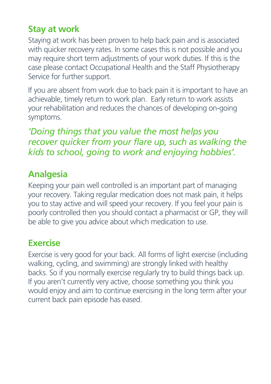#### **Stay at work**

Staying at work has been proven to help back pain and is associated with quicker recovery rates. In some cases this is not possible and you may require short term adjustments of your work duties. If this is the case please contact Occupational Health and the Staff Physiotherapy Service for further support.

If you are absent from work due to back pain it is important to have an achievable, timely return to work plan. Early return to work assists your rehabilitation and reduces the chances of developing on-going symptoms.

*'Doing things that you value the most helps you recover quicker from your flare up, such as walking the kids to school, going to work and enjoying hobbies'.*

#### **Analgesia**

Keeping your pain well controlled is an important part of managing your recovery. Taking regular medication does not mask pain, it helps you to stay active and will speed your recovery. If you feel your pain is poorly controlled then you should contact a pharmacist or GP, they will be able to give you advice about which medication to use.

#### **Exercise**

Exercise is very good for your back. All forms of light exercise (including walking, cycling, and swimming) are strongly linked with healthy backs. So if you normally exercise regularly try to build things back up. If you aren't currently very active, choose something you think you would enjoy and aim to continue exercising in the long term after your current back pain episode has eased.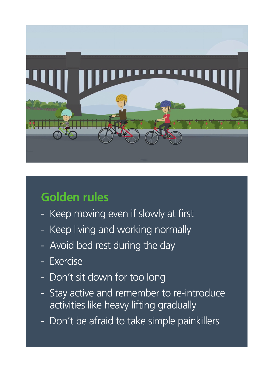

# **Golden rules**

- Keep moving even if slowly at first
- Keep living and working normally
- Avoid bed rest during the day
- **Exercise**
- Don't sit down for too long
- Stay active and remember to re-introduce activities like heavy lifting gradually
- Don't be afraid to take simple painkillers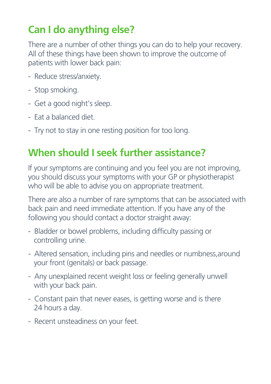# **Can I do anything else?**

There are a number of other things you can do to help your recovery. All of these things have been shown to improve the outcome of patients with lower back pain:

- Reduce stress/anxiety.
- Stop smoking.
- Get a good night's sleep.
- Eat a balanced diet.
- Try not to stay in one resting position for too long.

# **When should I seek further assistance?**

If your symptoms are continuing and you feel you are not improving, you should discuss your symptoms with your GP or physiotherapist who will be able to advise you on appropriate treatment.

There are also a number of rare symptoms that can be associated with back pain and need immediate attention. If you have any of the following you should contact a doctor straight away:

- Bladder or bowel problems, including difficulty passing or controlling urine.
- Altered sensation, including pins and needles or numbness,around your front (genitals) or back passage.
- Any unexplained recent weight loss or feeling generally unwell with your back pain.
- Constant pain that never eases, is getting worse and is there 24 hours a day.
- Recent unsteadiness on your feet.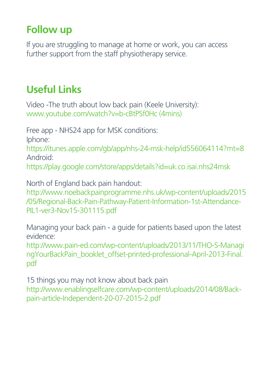## **Follow up**

If you are struggling to manage at home or work, you can access further support from the staff physiotherapy service.

## **Useful Links**

Video -The truth about low back pain (Keele University): www.youtube.com/watch?v=b-cBtPSf0Hc (4mins)

Free app - NHS24 app for MSK conditions: Iphone: https://itunes.apple.com/gb/app/nhs-24-msk-help/id556064114?mt=8 Android:

https://play.google.com/store/apps/details?id=uk.co.isai.nhs24msk

North of England back pain handout: http://www.noebackpainprogramme.nhs.uk/wp-content/uploads/2015 /05/Regional-Back-Pain-Pathway-Patient-Information-1st-Attendance-PIL1-ver3-Nov15-301115.pdf

Managing your back pain - a guide for patients based upon the latest evidence:

http://www.pain-ed.com/wp-content/uploads/2013/11/THO-S-Managi ngYourBackPain\_booklet\_offset-printed-professional-April-2013-Final. pdf

15 things you may not know about back pain http://www.enablingselfcare.com/wp-content/uploads/2014/08/Backpain-article-Independent-20-07-2015-2.pdf